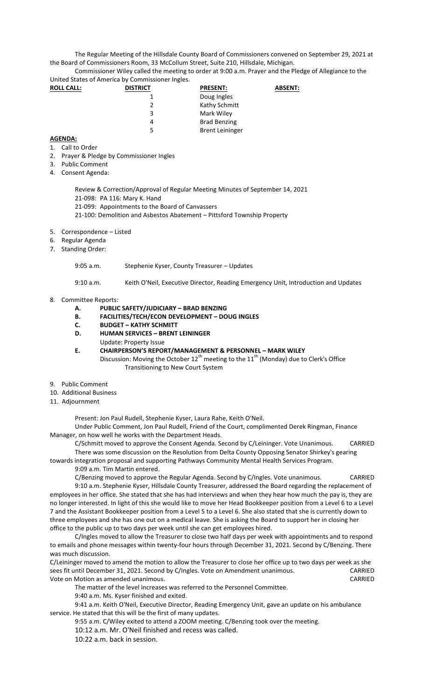The Regular Meeting of the Hillsdale County Board of Commissioners convened on September 29, 2021 at the Board of Commissioners Room, 33 McCollum Street, Suite 210, Hillsdale, Michigan.

Commissioner Wiley called the meeting to order at 9:00 a.m. Prayer and the Pledge of Allegiance to the United States of America by Commissioner Ingles.

| <b>ROLL CALL:</b> | <b>DISTRICT</b> | <b>PRESENT:</b>        | <b>ABSENT:</b> |
|-------------------|-----------------|------------------------|----------------|
|                   |                 | Doug Ingles            |                |
|                   |                 | Kathy Schmitt          |                |
|                   | 3               | Mark Wiley             |                |
|                   | 4               | <b>Brad Benzing</b>    |                |
|                   | 5.              | <b>Brent Leininger</b> |                |

## **AGENDA:**

- 1. Call to Order
- 2. Prayer & Pledge by Commissioner Ingles
- 3. Public Comment
- 4. Consent Agenda:

Review & Correction/Approval of Regular Meeting Minutes of September 14, 2021 21-098: PA 116: Mary K. Hand

- 21-099: Appointments to the Board of Canvassers
- 21-100: Demolition and Asbestos Abatement Pittsford Township Property
- 5. Correspondence Listed
- 6. Regular Agenda
- 7. Standing Order:

## 9:05 a.m. Stephenie Kyser, County Treasurer – Updates

9:10 a.m. Keith O'Neil, Executive Director, Reading Emergency Unit, Introduction and Updates

## 8. Committee Reports:

- **A. PUBLIC SAFETY/JUDICIARY – BRAD BENZING**
- **B. FACILITIES/TECH/ECON DEVELOPMENT – DOUG INGLES**
- **C. BUDGET – KATHY SCHMITT**
- **D. HUMAN SERVICES – BRENT LEININGER**
- Update: Property Issue
- **E. CHAIRPERSON'S REPORT/MANAGEMENT & PERSONNEL – MARK WILEY** Discussion: Moving the October  $12^{th}$  meeting to the  $11^{th}$  (Monday) due to Clerk's Office Transitioning to New Court System
- 9. Public Comment
- 10. Additional Business
- 11. Adjournment

Present: Jon Paul Rudell, Stephenie Kyser, Laura Rahe, Keith O'Neil.

Under Public Comment, Jon Paul Rudell, Friend of the Court, complimented Derek Ringman, Finance Manager, on how well he works with the Department Heads.

C/Schmitt moved to approve the Consent Agenda. Second by C/Leininger. Vote Unanimous. CARRIED There was some discussion on the Resolution from Delta County Opposing Senator Shirkey's gearing

towards integration proposal and supporting Pathways Community Mental Health Services Program. 9:09 a.m. Tim Martin entered.

C/Benzing moved to approve the Regular Agenda. Second by C/Ingles. Vote unanimous. CARRIED

9:10 a.m. Stephenie Kyser, Hillsdale County Treasurer, addressed the Board regarding the replacement of employees in her office. She stated that she has had interviews and when they hear how much the pay is, they are no longer interested. In light of this she would like to move her Head Bookkeeper position from a Level 6 to a Level 7 and the Assistant Bookkeeper position from a Level 5 to a Level 6. She also stated that she is currently down to three employees and she has one out on a medical leave. She is asking the Board to support her in closing her office to the public up to two days per week until she can get employees hired.

C/Ingles moved to allow the Treasurer to close two half days per week with appointments and to respond to emails and phone messages within twenty-four hours through December 31, 2021. Second by C/Benzing. There was much discussion.

C/Leininger moved to amend the motion to allow the Treasurer to close her office up to two days per week as she sees fit until December 31, 2021. Second by C/Ingles. Vote on Amendment unanimous. CARRIED Vote on Motion as amended unanimous. CARRIED

The matter of the level increases was referred to the Personnel Committee.

9:40 a.m. Ms. Kyser finished and exited.

9:41 a.m. Keith O'Neil, Executive Director, Reading Emergency Unit, gave an update on his ambulance service. He stated that this will be the first of many updates.

9:55 a.m. C/Wiley exited to attend a ZOOM meeting. C/Benzing took over the meeting.

10:12 a.m. Mr. O'Neil finished and recess was called.

10:22 a.m. back in session.